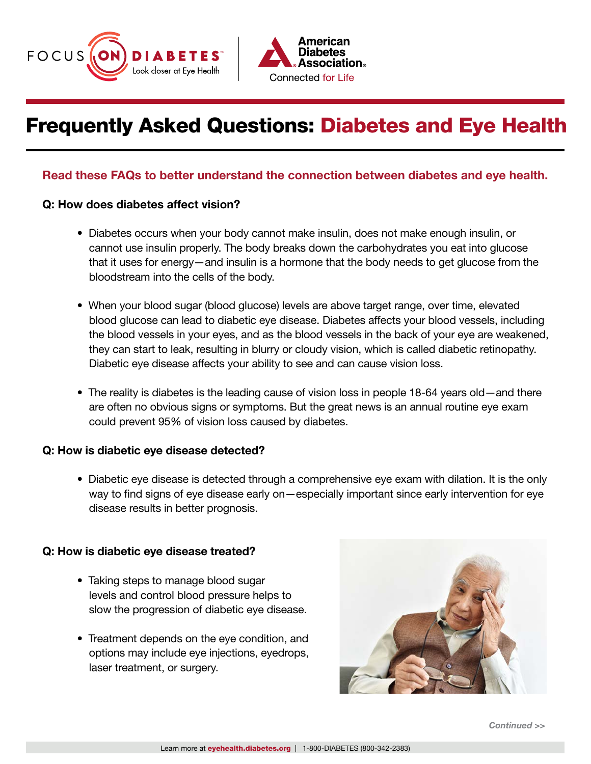



# Frequently Asked Questions: Diabetes and Eye Health

## Read these FAQs to better understand the connection between diabetes and eye health.

### Q: How does diabetes affect vision?

- Diabetes occurs when your body cannot make insulin, does not make enough insulin, or cannot use insulin properly. The body breaks down the carbohydrates you eat into glucose that it uses for energy—and insulin is a hormone that the body needs to get glucose from the bloodstream into the cells of the body.
- When your blood sugar (blood glucose) levels are above target range, over time, elevated blood glucose can lead to diabetic eye disease. Diabetes affects your blood vessels, including the blood vessels in your eyes, and as the blood vessels in the back of your eye are weakened, they can start to leak, resulting in blurry or cloudy vision, which is called diabetic retinopathy. Diabetic eye disease affects your ability to see and can cause vision loss.
- The reality is diabetes is the leading cause of vision loss in people 18-64 years old—and there are often no obvious signs or symptoms. But the great news is an annual routine eye exam could prevent 95% of vision loss caused by diabetes.

#### Q: How is diabetic eye disease detected?

• Diabetic eye disease is detected through a comprehensive eye exam with dilation. It is the only way to find signs of eye disease early on—especially important since early intervention for eye disease results in better prognosis.

#### Q: How is diabetic eye disease treated?

- Taking steps to manage blood sugar levels and control blood pressure helps to slow the progression of diabetic eye disease.
- Treatment depends on the eye condition, and options may include eye injections, eyedrops, laser treatment, or surgery.



*Continued >>*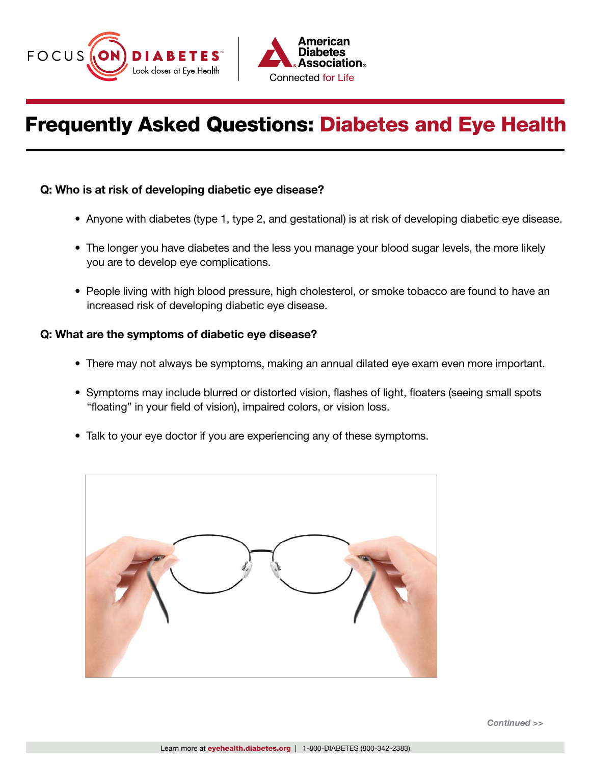



# Frequently Asked Questions: Diabetes and Eye Health

### Q: Who is at risk of developing diabetic eye disease?

- Anyone with diabetes (type 1, type 2, and gestational) is at risk of developing diabetic eye disease.
- The longer you have diabetes and the less you manage your blood sugar levels, the more likely you are to develop eye complications.
- People living with high blood pressure, high cholesterol, or smoke tobacco are found to have an increased risk of developing diabetic eye disease.

### Q: What are the symptoms of diabetic eye disease?

- There may not always be symptoms, making an annual dilated eye exam even more important.
- Symptoms may include blurred or distorted vision, flashes of light, floaters (seeing small spots "floating" in your field of vision), impaired colors, or vision loss.
- Talk to your eye doctor if you are experiencing any of these symptoms.